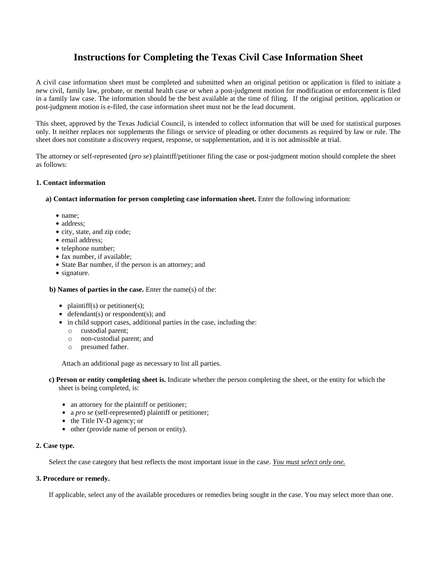# **Instructions for Completing the Texas Civil Case Information Sheet**

A civil case information sheet must be completed and submitted when an original petition or application is filed to initiate a new civil, family law, probate, or mental health case or when a post-judgment motion for modification or enforcement is filed in a family law case. The information should be the best available at the time of filing. If the original petition, application or post-judgment motion is e-filed, the case information sheet must not be the lead document.

This sheet, approved by the Texas Judicial Council, is intended to collect information that will be used for statistical purposes only. It neither replaces nor supplements the filings or service of pleading or other documents as required by law or rule. The sheet does not constitute a discovery request, response, or supplementation, and it is not admissible at trial.

The attorney or self-represented (*pro se*) plaintiff/petitioner filing the case or post-judgment motion should complete the sheet as follows:

### **1. Contact information**

**a) Contact information for person completing case information sheet.** Enter the following information:

- name:
- address;
- city, state, and zip code;
- email address;
- telephone number;
- fax number, if available;
- State Bar number, if the person is an attorney; and
- signature.

**b) Names of parties in the case.** Enter the name(s) of the:

- $\bullet$  plaintiff(s) or petitioner(s);
- $\bullet$  defendant(s) or respondent(s); and
- in child support cases, additional parties in the case, including the:
	- o custodial parent;
	- o non-custodial parent; and
	- o presumed father.

Attach an additional page as necessary to list all parties.

- **c) Person or entity completing sheet is.** Indicate whether the person completing the sheet, or the entity for which the sheet is being completed, is:
	- an attorney for the plaintiff or petitioner;
	- a *pro se* (self-represented) plaintiff or petitioner;
	- $\bullet$  the Title IV-D agency; or
	- other (provide name of person or entity).

#### **2. Case type.**

Select the case category that best reflects the most important issue in the case. *You must select only one.*

#### **3. Procedure or remedy.**

If applicable, select any of the available procedures or remedies being sought in the case. You may select more than one.